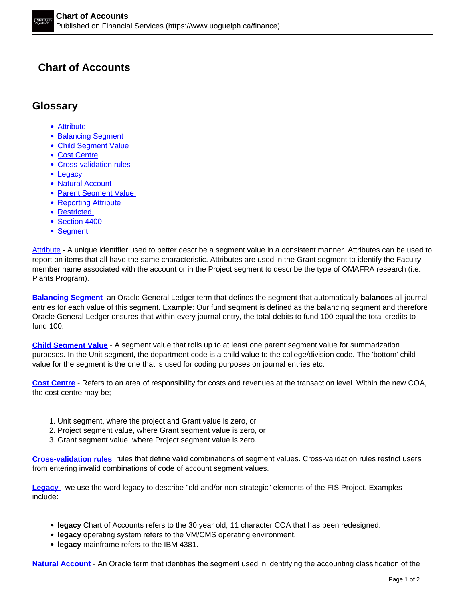## **Chart of Accounts**

## **Glossary**

- Attribute
- Balancing Segment
- Child Segment Value
- Cost Centre
- Cross-validation rules
- Legacy
- Natural Account
- Parent Segment Value
- Reporting Attribute
- Restricted
- Section 4400
- Segment

Attribute **-** A unique identifier used to better describe a segment value in a consistent manner. Attributes can be used to report on items that all have the same characteristic. Attributes are used in the Grant segment to identify the Faculty member name associated with the account or in the Project segment to describe the type of OMAFRA research (i.e. Plants Program).

**Balancing Segment** an Oracle General Ledger term that defines the segment that automatically **balances** all journal entries for each value of this segment. Example: Our fund segment is defined as the balancing segment and therefore Oracle General Ledger ensures that within every journal entry, the total debits to fund 100 equal the total credits to fund 100.

**Child Segment Value** - A segment value that rolls up to at least one parent segment value for summarization purposes. In the Unit segment, the department code is a child value to the college/division code. The 'bottom' child value for the segment is the one that is used for coding purposes on journal entries etc.

**Cost Centre** - Refers to an area of responsibility for costs and revenues at the transaction level. Within the new COA, the cost centre may be;

- 1. Unit segment, where the project and Grant value is zero, or
- 2. Project segment value, where Grant segment value is zero, or
- 3. Grant segment value, where Project segment value is zero.

**Cross-validation rules** rules that define valid combinations of segment values. Cross-validation rules restrict users from entering invalid combinations of code of account segment values.

**Legacy** - we use the word legacy to describe "old and/or non-strategic" elements of the FIS Project. Examples include:

- **legacy** Chart of Accounts refers to the 30 year old, 11 character COA that has been redesigned.
- **legacy** operating system refers to the VM/CMS operating environment.
- **legacy** mainframe refers to the IBM 4381.

**Natural Account** - An Oracle term that identifies the segment used in identifying the accounting classification of the